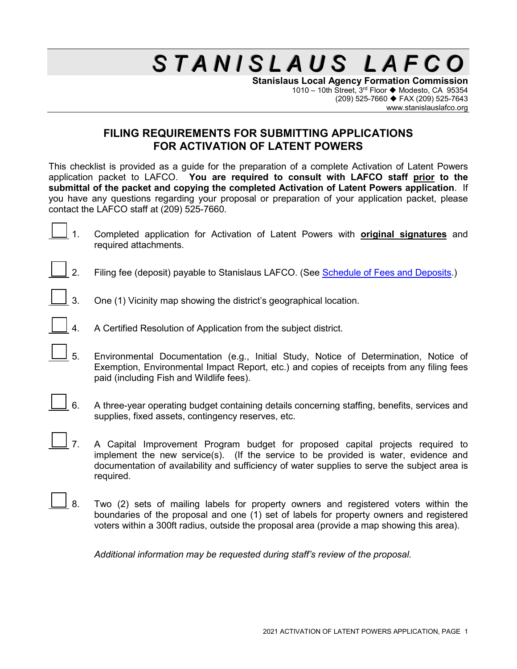**Stanislaus Local Agency Formation Commission** 1010 – 10th Street,  $3^{rd}$  Floor  $\blacklozenge$  Modesto, CA 95354 (209) 525-7660 FAX (209) 525-7643 www.stanislauslafco.org

#### **FILING REQUIREMENTS FOR SUBMITTING APPLICATIONS FOR ACTIVATION OF LATENT POWERS**

This checklist is provided as a guide for the preparation of a complete Activation of Latent Powers application packet to LAFCO. **You are required to consult with LAFCO staff prior to the submittal of the packet and copying the completed Activation of Latent Powers application**. If you have any questions regarding your proposal or preparation of your application packet, please contact the LAFCO staff at (209) 525-7660.

- 1. Completed application for Activation of Latent Powers with **original signatures** and required attachments.
- 2. Filing fee (deposit) payable to Stanislaus LAFCO. (See [Schedule of Fees and Deposits.](http://www.stanislauslafco.org/PDF/forms/FeeSchedule.pdf))
	- 3. One (1) Vicinity map showing the district's geographical location.
- 4. A Certified Resolution of Application from the subject district.
- 5. Environmental Documentation (e.g., Initial Study, Notice of Determination, Notice of Exemption, Environmental Impact Report, etc.) and copies of receipts from any filing fees paid (including Fish and Wildlife fees).
- 6. A three-year operating budget containing details concerning staffing, benefits, services and supplies, fixed assets, contingency reserves, etc.
	- 7. A Capital Improvement Program budget for proposed capital projects required to implement the new service(s). (If the service to be provided is water, evidence and documentation of availability and sufficiency of water supplies to serve the subject area is required.
- 8. Two (2) sets of mailing labels for property owners and registered voters within the boundaries of the proposal and one (1) set of labels for property owners and registered voters within a 300ft radius, outside the proposal area (provide a map showing this area).

*Additional information may be requested during staff's review of the proposal.*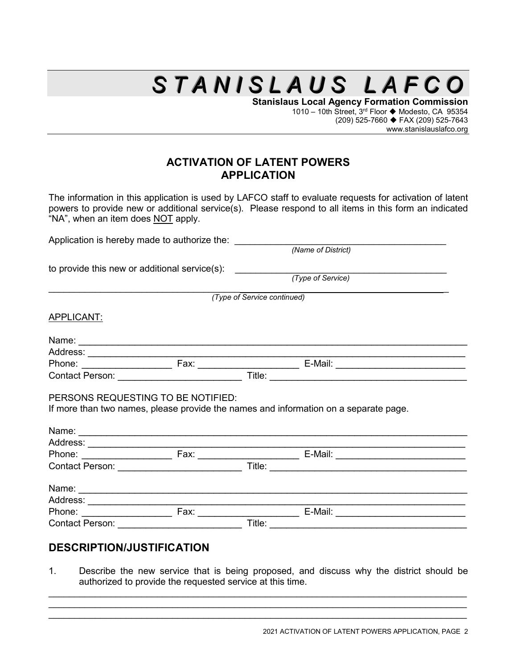**Stanislaus Local Agency Formation Commission** 1010 – 10th Street, 3<sup>rd</sup> Floor ♦ Modesto, CA 95354 (209) 525-7660 FAX (209) 525-7643 www.stanislauslafco.org

### **ACTIVATION OF LATENT POWERS APPLICATION**

The information in this application is used by LAFCO staff to evaluate requests for activation of latent powers to provide new or additional service(s). Please respond to all items in this form an indicated "NA", when an item does NOT apply.

| Application is hereby made to authorize the:                                                                                   |
|--------------------------------------------------------------------------------------------------------------------------------|
| (Name of District)                                                                                                             |
| to provide this new or additional service(s): $\frac{1}{(Type \ of \ Service)}$                                                |
|                                                                                                                                |
| (Type of Service continued)                                                                                                    |
|                                                                                                                                |
|                                                                                                                                |
|                                                                                                                                |
|                                                                                                                                |
| Contact Person: ___________________________                                                                                    |
| PERSONS REQUESTING TO BE NOTIFIED:<br>If more than two names, please provide the names and information on a separate page.     |
|                                                                                                                                |
|                                                                                                                                |
|                                                                                                                                |
| Contact Person: New York Contact Person:<br>Title:<br><u> 1980 - Johann Storm, martin de ferrer eta biztanleria (h. 1980).</u> |
|                                                                                                                                |
|                                                                                                                                |
|                                                                                                                                |
| Title:                                                                                                                         |
|                                                                                                                                |
|                                                                                                                                |

#### **DESCRIPTION/JUSTIFICATION**

1. Describe the new service that is being proposed, and discuss why the district should be authorized to provide the requested service at this time.

\_\_\_\_\_\_\_\_\_\_\_\_\_\_\_\_\_\_\_\_\_\_\_\_\_\_\_\_\_\_\_\_\_\_\_\_\_\_\_\_\_\_\_\_\_\_\_\_\_\_\_\_\_\_\_\_\_\_\_\_\_\_\_\_\_\_\_\_\_\_\_\_\_\_\_\_\_\_\_\_\_  $\_$  , and the set of the set of the set of the set of the set of the set of the set of the set of the set of the set of the set of the set of the set of the set of the set of the set of the set of the set of the set of th  $\_$  , and the set of the set of the set of the set of the set of the set of the set of the set of the set of the set of the set of the set of the set of the set of the set of the set of the set of the set of the set of th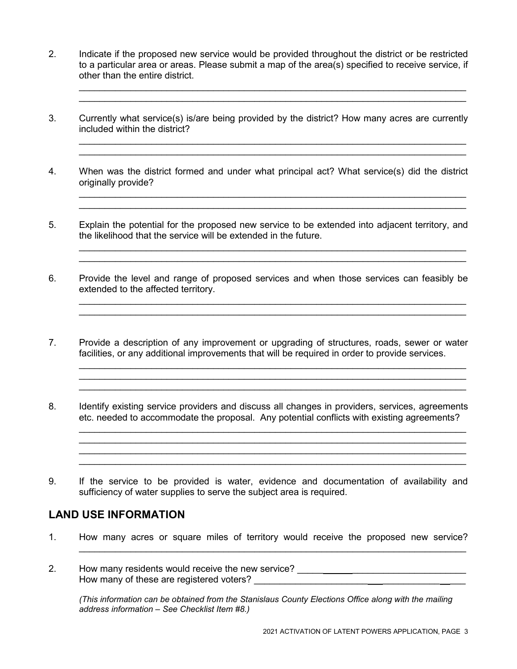2. Indicate if the proposed new service would be provided throughout the district or be restricted to a particular area or areas. Please submit a map of the area(s) specified to receive service, if other than the entire district.

\_\_\_\_\_\_\_\_\_\_\_\_\_\_\_\_\_\_\_\_\_\_\_\_\_\_\_\_\_\_\_\_\_\_\_\_\_\_\_\_\_\_\_\_\_\_\_\_\_\_\_\_\_\_\_\_\_\_\_\_\_\_\_\_\_\_\_\_\_\_\_\_\_\_\_

\_\_\_\_\_\_\_\_\_\_\_\_\_\_\_\_\_\_\_\_\_\_\_\_\_\_\_\_\_\_\_\_\_\_\_\_\_\_\_\_\_\_\_\_\_\_\_\_\_\_\_\_\_\_\_\_\_\_\_\_\_\_\_\_\_\_\_\_\_\_\_\_\_\_\_

\_\_\_\_\_\_\_\_\_\_\_\_\_\_\_\_\_\_\_\_\_\_\_\_\_\_\_\_\_\_\_\_\_\_\_\_\_\_\_\_\_\_\_\_\_\_\_\_\_\_\_\_\_\_\_\_\_\_\_\_\_\_\_\_\_\_\_\_\_\_\_\_\_\_\_ \_\_\_\_\_\_\_\_\_\_\_\_\_\_\_\_\_\_\_\_\_\_\_\_\_\_\_\_\_\_\_\_\_\_\_\_\_\_\_\_\_\_\_\_\_\_\_\_\_\_\_\_\_\_\_\_\_\_\_\_\_\_\_\_\_\_\_\_\_\_\_\_\_\_\_

\_\_\_\_\_\_\_\_\_\_\_\_\_\_\_\_\_\_\_\_\_\_\_\_\_\_\_\_\_\_\_\_\_\_\_\_\_\_\_\_\_\_\_\_\_\_\_\_\_\_\_\_\_\_\_\_\_\_\_\_\_\_\_\_\_\_\_\_\_\_\_\_\_\_\_

\_\_\_\_\_\_\_\_\_\_\_\_\_\_\_\_\_\_\_\_\_\_\_\_\_\_\_\_\_\_\_\_\_\_\_\_\_\_\_\_\_\_\_\_\_\_\_\_\_\_\_\_\_\_\_\_\_\_\_\_\_\_\_\_\_\_\_\_\_\_\_\_\_\_\_ \_\_\_\_\_\_\_\_\_\_\_\_\_\_\_\_\_\_\_\_\_\_\_\_\_\_\_\_\_\_\_\_\_\_\_\_\_\_\_\_\_\_\_\_\_\_\_\_\_\_\_\_\_\_\_\_\_\_\_\_\_\_\_\_\_\_\_\_\_\_\_\_\_\_\_

\_\_\_\_\_\_\_\_\_\_\_\_\_\_\_\_\_\_\_\_\_\_\_\_\_\_\_\_\_\_\_\_\_\_\_\_\_\_\_\_\_\_\_\_\_\_\_\_\_\_\_\_\_\_\_\_\_\_\_\_\_\_\_\_\_\_\_\_\_\_\_\_\_\_\_

 $\mathcal{L}_\text{max}$  , and the contribution of the contribution of the contribution of the contribution of the contribution of the contribution of the contribution of the contribution of the contribution of the contribution of t

- 3. Currently what service(s) is/are being provided by the district? How many acres are currently included within the district?
- 4. When was the district formed and under what principal act? What service(s) did the district originally provide?
- 5. Explain the potential for the proposed new service to be extended into adjacent territory, and the likelihood that the service will be extended in the future.
- 6. Provide the level and range of proposed services and when those services can feasibly be extended to the affected territory.
- 7. Provide a description of any improvement or upgrading of structures, roads, sewer or water facilities, or any additional improvements that will be required in order to provide services.
- 8. Identify existing service providers and discuss all changes in providers, services, agreements etc. needed to accommodate the proposal. Any potential conflicts with existing agreements?
- 9. If the service to be provided is water, evidence and documentation of availability and sufficiency of water supplies to serve the subject area is required.

#### **LAND USE INFORMATION**

- 1. How many acres or square miles of territory would receive the proposed new service?
- 2. How many residents would receive the new service? \_\_\_\_\_ \_\_\_\_\_\_\_\_\_\_\_\_\_\_\_\_\_\_\_\_\_\_ How many of these are registered voters?

 $\mathcal{L}_\text{max}$  and  $\mathcal{L}_\text{max}$  and  $\mathcal{L}_\text{max}$  and  $\mathcal{L}_\text{max}$  and  $\mathcal{L}_\text{max}$ 

*(This information can be obtained from the Stanislaus County Elections Office along with the mailing address information – See Checklist Item #8.)*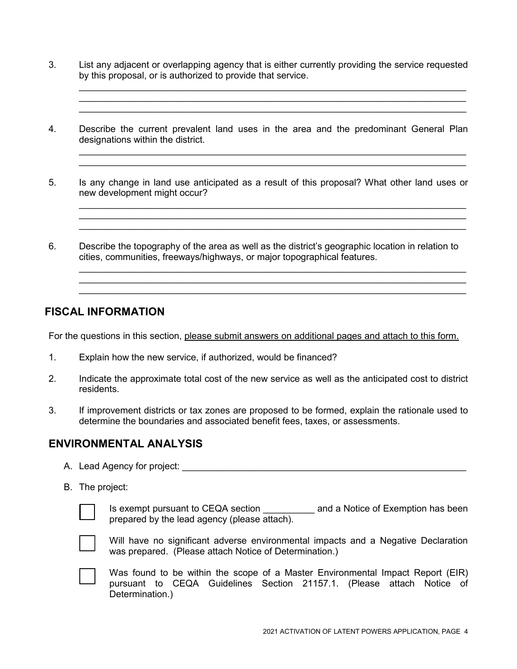3. List any adjacent or overlapping agency that is either currently providing the service requested by this proposal, or is authorized to provide that service.

\_\_\_\_\_\_\_\_\_\_\_\_\_\_\_\_\_\_\_\_\_\_\_\_\_\_\_\_\_\_\_\_\_\_\_\_\_\_\_\_\_\_\_\_\_\_\_\_\_\_\_\_\_\_\_\_\_\_\_\_\_\_\_\_\_\_\_\_\_\_\_\_\_\_\_

\_\_\_\_\_\_\_\_\_\_\_\_\_\_\_\_\_\_\_\_\_\_\_\_\_\_\_\_\_\_\_\_\_\_\_\_\_\_\_\_\_\_\_\_\_\_\_\_\_\_\_\_\_\_\_\_\_\_\_\_\_\_\_\_\_\_\_\_\_\_\_\_\_\_\_

\_\_\_\_\_\_\_\_\_\_\_\_\_\_\_\_\_\_\_\_\_\_\_\_\_\_\_\_\_\_\_\_\_\_\_\_\_\_\_\_\_\_\_\_\_\_\_\_\_\_\_\_\_\_\_\_\_\_\_\_\_\_\_\_\_\_\_\_\_\_\_\_\_\_\_ \_\_\_\_\_\_\_\_\_\_\_\_\_\_\_\_\_\_\_\_\_\_\_\_\_\_\_\_\_\_\_\_\_\_\_\_\_\_\_\_\_\_\_\_\_\_\_\_\_\_\_\_\_\_\_\_\_\_\_\_\_\_\_\_\_\_\_\_\_\_\_\_\_\_\_

\_\_\_\_\_\_\_\_\_\_\_\_\_\_\_\_\_\_\_\_\_\_\_\_\_\_\_\_\_\_\_\_\_\_\_\_\_\_\_\_\_\_\_\_\_\_\_\_\_\_\_\_\_\_\_\_\_\_\_\_\_\_\_\_\_\_\_\_\_\_\_\_\_\_\_ \_\_\_\_\_\_\_\_\_\_\_\_\_\_\_\_\_\_\_\_\_\_\_\_\_\_\_\_\_\_\_\_\_\_\_\_\_\_\_\_\_\_\_\_\_\_\_\_\_\_\_\_\_\_\_\_\_\_\_\_\_\_\_\_\_\_\_\_\_\_\_\_\_\_\_

\_\_\_\_\_\_\_\_\_\_\_\_\_\_\_\_\_\_\_\_\_\_\_\_\_\_\_\_\_\_\_\_\_\_\_\_\_\_\_\_\_\_\_\_\_\_\_\_\_\_\_\_\_\_\_\_\_\_\_\_\_\_\_\_\_\_\_\_\_\_\_\_\_\_\_ \_\_\_\_\_\_\_\_\_\_\_\_\_\_\_\_\_\_\_\_\_\_\_\_\_\_\_\_\_\_\_\_\_\_\_\_\_\_\_\_\_\_\_\_\_\_\_\_\_\_\_\_\_\_\_\_\_\_\_\_\_\_\_\_\_\_\_\_\_\_\_\_\_\_\_ \_\_\_\_\_\_\_\_\_\_\_\_\_\_\_\_\_\_\_\_\_\_\_\_\_\_\_\_\_\_\_\_\_\_\_\_\_\_\_\_\_\_\_\_\_\_\_\_\_\_\_\_\_\_\_\_\_\_\_\_\_\_\_\_\_\_\_\_\_\_\_\_\_\_\_

- 4. Describe the current prevalent land uses in the area and the predominant General Plan designations within the district.
- 5. Is any change in land use anticipated as a result of this proposal? What other land uses or new development might occur?
- 6. Describe the topography of the area as well as the district's geographic location in relation to cities, communities, freeways/highways, or major topographical features.

#### **FISCAL INFORMATION**

For the questions in this section, please submit answers on additional pages and attach to this form.

- 1. Explain how the new service, if authorized, would be financed?
- 2. Indicate the approximate total cost of the new service as well as the anticipated cost to district residents.
- 3. If improvement districts or tax zones are proposed to be formed, explain the rationale used to determine the boundaries and associated benefit fees, taxes, or assessments.

#### **ENVIRONMENTAL ANALYSIS**

- A. Lead Agency for project: \_\_\_\_\_\_\_\_\_\_\_\_\_\_\_\_\_\_\_\_\_\_\_\_\_\_\_\_\_\_\_\_\_\_\_\_\_\_\_\_\_\_\_\_\_\_\_\_\_\_\_\_\_\_\_
- B. The project:



Is exempt pursuant to CEQA section \_\_\_\_\_\_\_\_\_\_ and a Notice of Exemption has been prepared by the lead agency (please attach).



Will have no significant adverse environmental impacts and a Negative Declaration was prepared. (Please attach Notice of Determination.)

Was found to be within the scope of a Master Environmental Impact Report (EIR) pursuant to CEQA Guidelines Section 21157.1. (Please attach Notice of Determination.)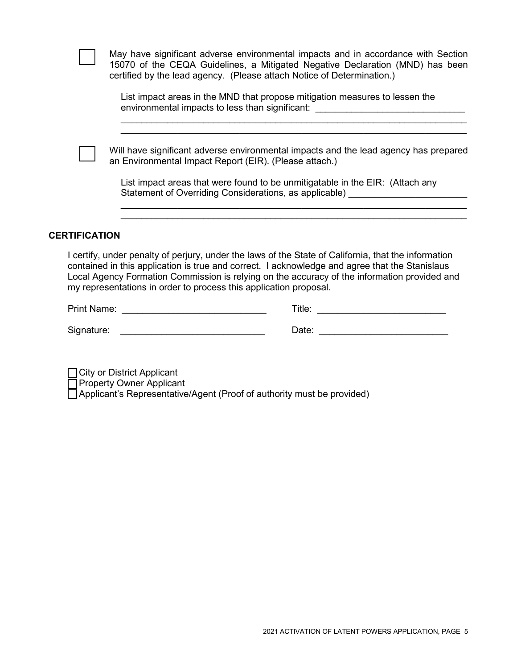|                      | May have significant adverse environmental impacts and in accordance with Section<br>15070 of the CEQA Guidelines, a Mitigated Negative Declaration (MND) has been<br>certified by the lead agency. (Please attach Notice of Determination.) |
|----------------------|----------------------------------------------------------------------------------------------------------------------------------------------------------------------------------------------------------------------------------------------|
|                      | List impact areas in the MND that propose mitigation measures to lessen the<br>environmental impacts to less than significant:                                                                                                               |
|                      |                                                                                                                                                                                                                                              |
|                      | Will have significant adverse environmental impacts and the lead agency has prepared<br>an Environmental Impact Report (EIR). (Please attach.)                                                                                               |
|                      | List impact areas that were found to be unmitigatable in the EIR: (Attach any<br>Statement of Overriding Considerations, as applicable)                                                                                                      |
|                      |                                                                                                                                                                                                                                              |
|                      |                                                                                                                                                                                                                                              |
| <b>CERTIFICATION</b> |                                                                                                                                                                                                                                              |

I certify, under penalty of perjury, under the laws of the State of California, that the information contained in this application is true and correct. I acknowledge and agree that the Stanislaus Local Agency Formation Commission is relying on the accuracy of the information provided and my representations in order to process this application proposal.

Print Name: etc. and the set of the set of the set of the set of the set of the set of the set of the set of the set of the set of the set of the set of the set of the set of the set of the set of the set of the set of the

Signature: \_\_\_\_\_\_\_\_\_\_\_\_\_\_\_\_\_\_\_\_\_\_\_\_\_\_\_\_ Date: \_\_\_\_\_\_\_\_\_\_\_\_\_\_\_\_\_\_\_\_\_\_\_\_\_

City or District Applicant

Property Owner Applicant

 $\Box$  Applicant's Representative/Agent (Proof of authority must be provided)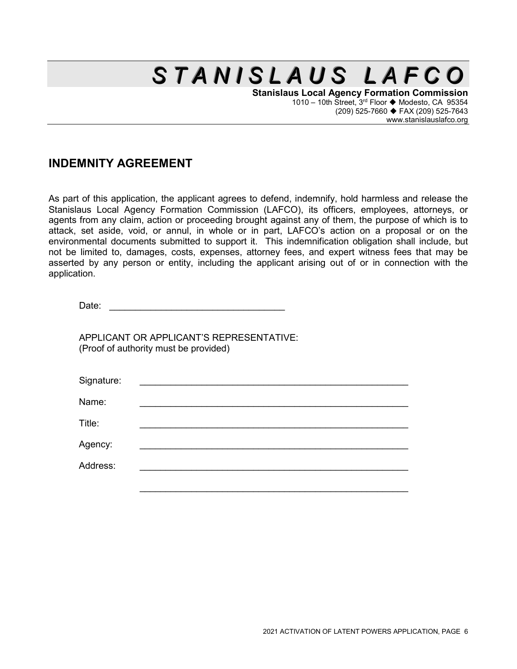**Stanislaus Local Agency Formation Commission** 1010 – 10th Street,  $3^{rd}$  Floor  $\blacklozenge$  Modesto, CA 95354 (209) 525-7660 FAX (209) 525-7643 www.stanislauslafco.org

### **INDEMNITY AGREEMENT**

As part of this application, the applicant agrees to defend, indemnify, hold harmless and release the Stanislaus Local Agency Formation Commission (LAFCO), its officers, employees, attorneys, or agents from any claim, action or proceeding brought against any of them, the purpose of which is to attack, set aside, void, or annul, in whole or in part, LAFCO's action on a proposal or on the environmental documents submitted to support it. This indemnification obligation shall include, but not be limited to, damages, costs, expenses, attorney fees, and expert witness fees that may be asserted by any person or entity, including the applicant arising out of or in connection with the application.

APPLICANT OR APPLICANT'S REPRESENTATIVE: (Proof of authority must be provided)

| Signature: | <u> 1989 - Johann Stein, Amerikaansk politiker (</u> |  |  |
|------------|------------------------------------------------------|--|--|
| Name:      |                                                      |  |  |
| Title:     |                                                      |  |  |
| Agency:    |                                                      |  |  |
| Address:   |                                                      |  |  |
|            |                                                      |  |  |